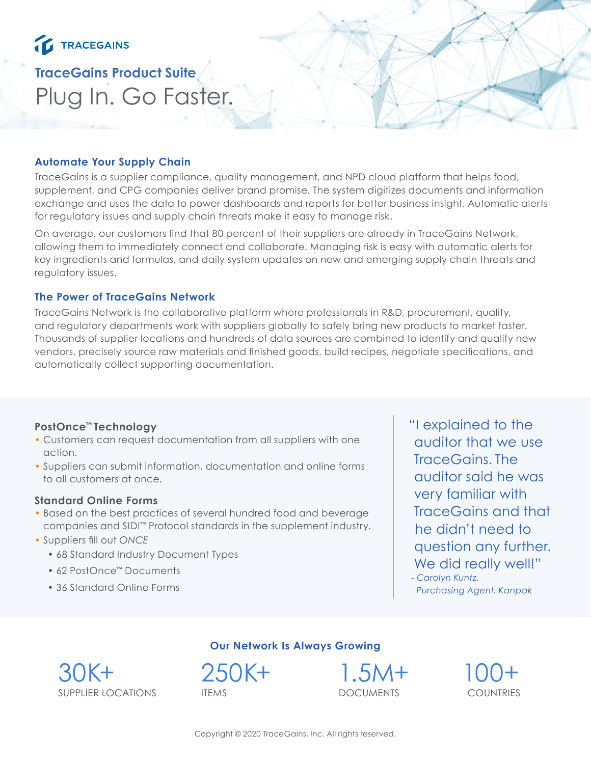# TRACEGAINS

## **TraceGains Product Suite** Plug In. Go Faster.

## **Automate Your Supply Chain**

TraceGains is a supplier compliance, quality management, and NPD cloud platform that helps food, supplement, and CPG companies deliver brand promise. The system digitizes documents and information exchange and uses the data to power dashboards and reports for better business insight. Automatic alerts for regulatory issues and supply chain threats make it easy to manage risk.

On average, our customers find that 80 percent of their suppliers are already in TraceGains Network, allowing them to immediately connect and collaborate. Managing risk is easy with automatic alerts for key ingredients and formulas, and daily system updates on new and emerging supply chain threats and regulatory issues.

### **The Power of TraceGains Network**

TraceGains Network is the collaborative platform where professionals in R&D, procurement, quality, and regulatory departments work with suppliers globally to safely bring new products to market faster. Thousands of supplier locations and hundreds of data sources are combined to identify and qualify new vendors, precisely source raw materials and finished goods, build recipes, negotiate specifications, and automatically collect supporting documentation.

## **PostOnce™ Technology**

- Customers can request documentation from all suppliers with one action.
- Suppliers can submit information, documentation and online forms to all customers at once.

### **Standard Online Forms**

- Based on the best practices of several hundred food and beverage companies and SIDI™ Protocol standards in the supplement industry.
- Suppliers fill out *ONCE*
	- 68 Standard Industry Document Types
	- 62 PostOnce™ Documents
	- 36 Standard Online Forms

"I explained to the auditor that we use TraceGains. The auditor said he was very familiar with TraceGains and that he didn't need to question any further. We did really well!"

*- Carolyn Kuntz, Purchasing Agent, Kanpak*



## **Our Network Is Always Growing**

250K+ ITEMS

1.5M+ DOCUMENTS